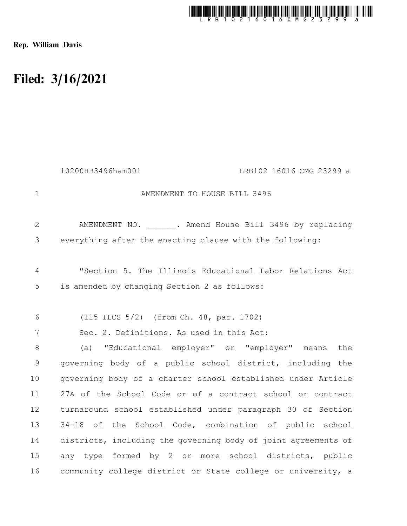

Rep. William Davis

## Filed: 3/16/2021

|                | 10200HB3496ham001<br>LRB102 16016 CMG 23299 a                  |
|----------------|----------------------------------------------------------------|
| $\mathbf 1$    | AMENDMENT TO HOUSE BILL 3496                                   |
| $\mathbf{2}$   | AMENDMENT NO. . Amend House Bill 3496 by replacing             |
| 3              | everything after the enacting clause with the following:       |
| $\overline{4}$ | "Section 5. The Illinois Educational Labor Relations Act       |
| 5              | is amended by changing Section 2 as follows:                   |
| 6              | (115 ILCS 5/2) (from Ch. 48, par. 1702)                        |
| 7              | Sec. 2. Definitions. As used in this Act:                      |
| 8              | "Educational employer" or "employer" means<br>the<br>(a)       |
| 9              | governing body of a public school district, including the      |
| 10             | governing body of a charter school established under Article   |
| 11             | 27A of the School Code or of a contract school or contract     |
| 12             | turnaround school established under paragraph 30 of Section    |
| 13             | 34-18 of the School Code, combination of public school         |
| 14             | districts, including the governing body of joint agreements of |
| 15             | any type formed by 2 or more school districts, public          |
| 16             | community college district or State college or university, a   |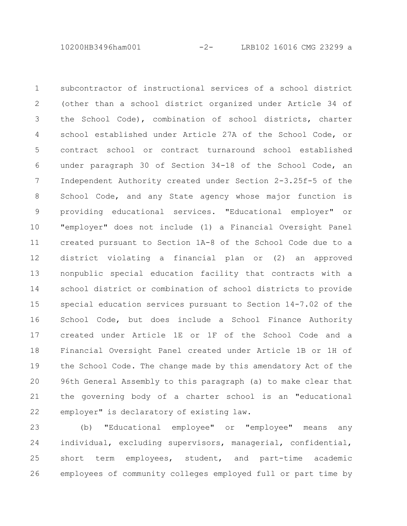10200HB3496ham001 -2- LRB102 16016 CMG 23299 a

subcontractor of instructional services of a school district (other than a school district organized under Article 34 of the School Code), combination of school districts, charter school established under Article 27A of the School Code, or contract school or contract turnaround school established under paragraph 30 of Section 34-18 of the School Code, an Independent Authority created under Section 2-3.25f-5 of the School Code, and any State agency whose major function is providing educational services. "Educational employer" or "employer" does not include (1) a Financial Oversight Panel created pursuant to Section 1A-8 of the School Code due to a district violating a financial plan or (2) an approved nonpublic special education facility that contracts with a school district or combination of school districts to provide special education services pursuant to Section 14-7.02 of the School Code, but does include a School Finance Authority created under Article 1E or 1F of the School Code and a Financial Oversight Panel created under Article 1B or 1H of the School Code. The change made by this amendatory Act of the 96th General Assembly to this paragraph (a) to make clear that the governing body of a charter school is an "educational employer" is declaratory of existing law. 1 2 3 4 5 6 7 8 9 10 11 12 13 14 15 16 17 18 19 20 21 22

(b) "Educational employee" or "employee" means any individual, excluding supervisors, managerial, confidential, short term employees, student, and part-time academic employees of community colleges employed full or part time by 23 24 25 26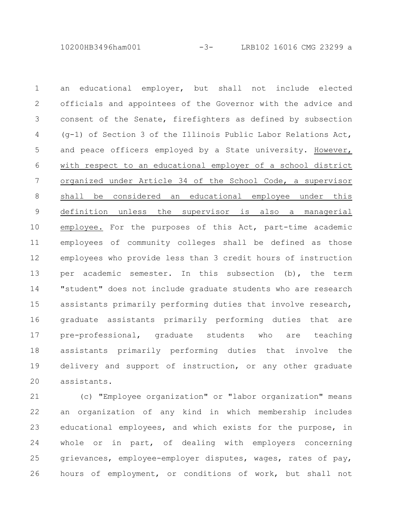10200HB3496ham001 -3- LRB102 16016 CMG 23299 a

an educational employer, but shall not include elected officials and appointees of the Governor with the advice and consent of the Senate, firefighters as defined by subsection (g-1) of Section 3 of the Illinois Public Labor Relations Act, and peace officers employed by a State university. However, with respect to an educational employer of a school district organized under Article 34 of the School Code, a supervisor shall be considered an educational employee under this definition unless the supervisor is also a managerial employee. For the purposes of this Act, part-time academic employees of community colleges shall be defined as those employees who provide less than 3 credit hours of instruction per academic semester. In this subsection (b), the term "student" does not include graduate students who are research assistants primarily performing duties that involve research, graduate assistants primarily performing duties that are pre-professional, graduate students who are teaching assistants primarily performing duties that involve the delivery and support of instruction, or any other graduate assistants. 1 2 3 4 5 6 7 8 9 10 11 12 13 14 15 16 17 18 19 20

(c) "Employee organization" or "labor organization" means an organization of any kind in which membership includes educational employees, and which exists for the purpose, in whole or in part, of dealing with employers concerning grievances, employee-employer disputes, wages, rates of pay, hours of employment, or conditions of work, but shall not 21 22 23 24 25 26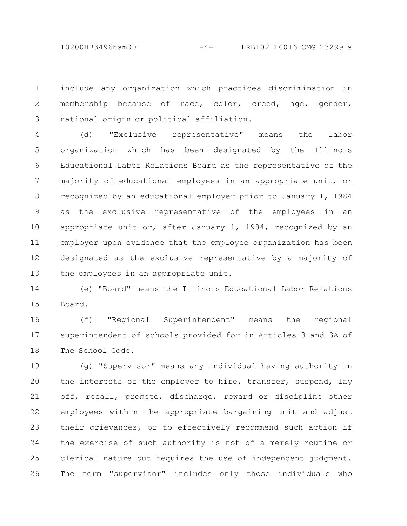include any organization which practices discrimination in membership because of race, color, creed, age, gender, national origin or political affiliation. 1 2 3

(d) "Exclusive representative" means the labor organization which has been designated by the Illinois Educational Labor Relations Board as the representative of the majority of educational employees in an appropriate unit, or recognized by an educational employer prior to January 1, 1984 as the exclusive representative of the employees in an appropriate unit or, after January 1, 1984, recognized by an employer upon evidence that the employee organization has been designated as the exclusive representative by a majority of the employees in an appropriate unit. 4 5 6 7 8 9 10 11 12 13

(e) "Board" means the Illinois Educational Labor Relations Board. 14 15

(f) "Regional Superintendent" means the regional superintendent of schools provided for in Articles 3 and 3A of The School Code. 16 17 18

(g) "Supervisor" means any individual having authority in the interests of the employer to hire, transfer, suspend, lay off, recall, promote, discharge, reward or discipline other employees within the appropriate bargaining unit and adjust their grievances, or to effectively recommend such action if the exercise of such authority is not of a merely routine or clerical nature but requires the use of independent judgment. The term "supervisor" includes only those individuals who 19 20 21 22 23 24 25 26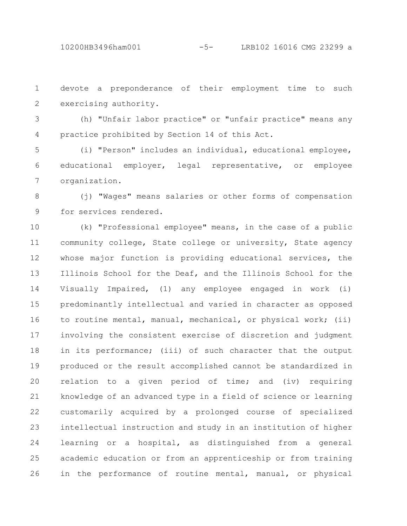devote a preponderance of their employment time to such exercising authority. 1 2

(h) "Unfair labor practice" or "unfair practice" means any practice prohibited by Section 14 of this Act. 3 4

(i) "Person" includes an individual, educational employee, educational employer, legal representative, or employee organization. 5 6 7

(j) "Wages" means salaries or other forms of compensation for services rendered. 8 9

(k) "Professional employee" means, in the case of a public community college, State college or university, State agency whose major function is providing educational services, the Illinois School for the Deaf, and the Illinois School for the Visually Impaired, (1) any employee engaged in work (i) predominantly intellectual and varied in character as opposed to routine mental, manual, mechanical, or physical work; (ii) involving the consistent exercise of discretion and judgment in its performance; (iii) of such character that the output produced or the result accomplished cannot be standardized in relation to a given period of time; and (iv) requiring knowledge of an advanced type in a field of science or learning customarily acquired by a prolonged course of specialized intellectual instruction and study in an institution of higher learning or a hospital, as distinguished from a general academic education or from an apprenticeship or from training in the performance of routine mental, manual, or physical 10 11 12 13 14 15 16 17 18 19 20 21 22 23 24 25 26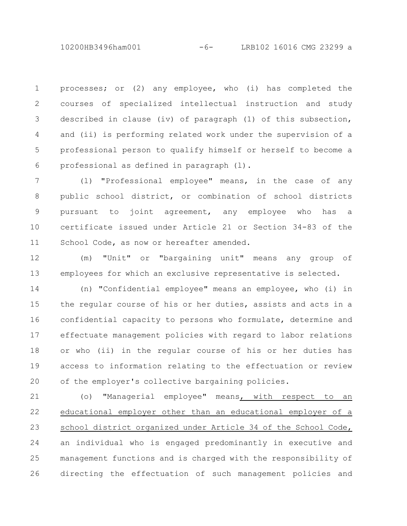10200HB3496ham001 -6- LRB102 16016 CMG 23299 a

processes; or (2) any employee, who (i) has completed the courses of specialized intellectual instruction and study described in clause (iv) of paragraph (1) of this subsection, and (ii) is performing related work under the supervision of a professional person to qualify himself or herself to become a professional as defined in paragraph (l). 1 2 3 4 5 6

(l) "Professional employee" means, in the case of any public school district, or combination of school districts pursuant to joint agreement, any employee who has a certificate issued under Article 21 or Section 34-83 of the School Code, as now or hereafter amended. 7 8 9 10 11

(m) "Unit" or "bargaining unit" means any group of employees for which an exclusive representative is selected. 12 13

(n) "Confidential employee" means an employee, who (i) in the regular course of his or her duties, assists and acts in a confidential capacity to persons who formulate, determine and effectuate management policies with regard to labor relations or who (ii) in the regular course of his or her duties has access to information relating to the effectuation or review of the employer's collective bargaining policies. 14 15 16 17 18 19 20

(o) "Managerial employee" means, with respect to an educational employer other than an educational employer of a school district organized under Article 34 of the School Code, an individual who is engaged predominantly in executive and management functions and is charged with the responsibility of directing the effectuation of such management policies and 21 22 23 24 25 26